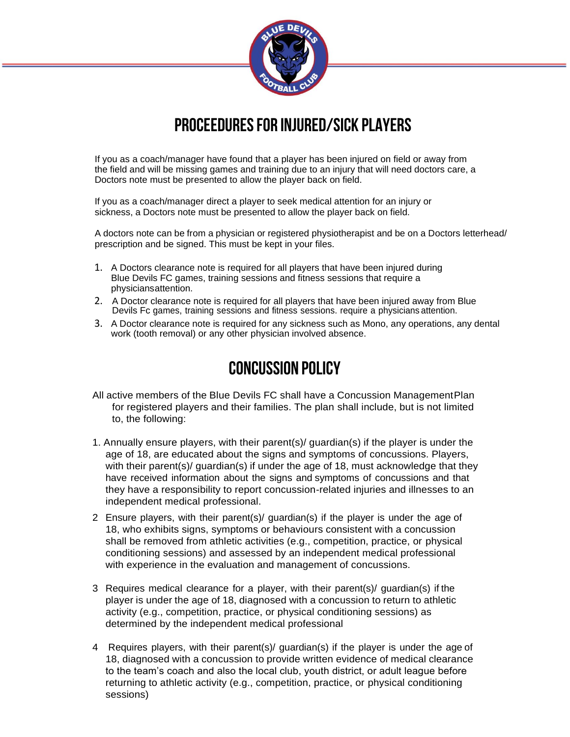

# **PROCEEDURESFOR INJURED/SICK PLAYERS**

If you as a coach/manager have found that a player has been injured on field or away from the field and will be missing games and training due to an injury that will need doctors care, a Doctors note must be presented to allow the player back on field.

If you as a coach/manager direct a player to seek medical attention for an injury or sickness, a Doctors note must be presented to allow the player back on field.

A doctors note can be from a physician or registered physiotherapist and be on a Doctors letterhead/ prescription and be signed. This must be kept in your files.

- 1. A Doctors clearance note is required for all players that have been injured during Blue Devils FC games, training sessions and fitness sessions that require a physiciansattention.
- 2. A Doctor clearance note is required for all players that have been injured away from Blue Devils Fc games, training sessions and fitness sessions. require a physicians attention.
- 3. A Doctor clearance note is required for any sickness such as Mono, any operations, any dental work (tooth removal) or any other physician involved absence.

## **CONCUSSION POLICY**

- All active members of the Blue Devils FC shall have a Concussion Management Plan for registered players and their families. The plan shall include, but is not limited to, the following:
- 1. Annually ensure players, with their parent(s)/ guardian(s) if the player is under the age of 18, are educated about the signs and symptoms of concussions. Players, with their parent(s)/ guardian(s) if under the age of 18, must acknowledge that they have received information about the signs and symptoms of concussions and that they have a responsibility to report concussion-related injuries and illnesses to an independent medical professional.
- 2 Ensure players, with their parent(s)/ guardian(s) if the player is under the age of 18, who exhibits signs, symptoms or behaviours consistent with a concussion shall be removed from athletic activities (e.g., competition, practice, or physical conditioning sessions) and assessed by an independent medical professional with experience in the evaluation and management of concussions.
- 3 Requires medical clearance for a player, with their parent(s)/ guardian(s) if the player is under the age of 18, diagnosed with a concussion to return to athletic activity (e.g., competition, practice, or physical conditioning sessions) as determined by the independent medical professional
- 4 Requires players, with their parent(s)/ guardian(s) if the player is under the age of 18, diagnosed with a concussion to provide written evidence of medical clearance to the team's coach and also the local club, youth district, or adult league before returning to athletic activity (e.g., competition, practice, or physical conditioning sessions)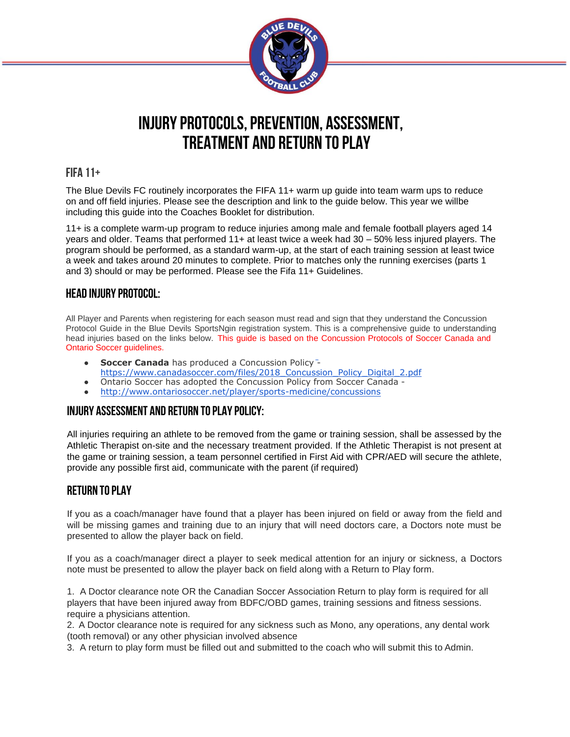

## **INJURY PROTOCOLS, PREVENTION, ASSESSMENT, Treatment and Return to Play**

#### **FIFA 11+**

The Blue Devils FC routinely incorporates the FIFA 11+ warm up guide into team warm ups to reduce on and off field injuries. Please see the description and link to the guide below. This year we willbe including this guide into the Coaches Booklet for distribution.

11+ is a complete warm-up program to reduce injuries among male and female football players aged 14 years and older. Teams that performed 11+ at least twice a week had 30 – 50% less injured players. The program should be performed, as a standard warm-up, at the start of each training session at least twice a week and takes around 20 minutes to complete. Prior to matches only the running exercises (parts 1 and 3) should or may be performed. Please see the Fifa 11+ Guidelines.

#### **HEAD INJURY PROTOCOL:**

All Player and Parents when registering for each season must read and sign that they understand the Concussion Protocol Guide in the Blue Devils SportsNgin registration system. This is a comprehensive guide to understanding head injuries based on the links below. This guide is based on the Concussion Protocols of Soccer Canada and Ontario Soccer guidelines.

- **Soccer Canada** has produced a Concussion Policy<sup>-</sup> [https://www.canadasoccer.com/files/2018\\_Concussion\\_Policy\\_Digital\\_2.pdf](http://www.canadasoccer.com/files/2018_Concussion_Policy_Digital_2.pdf)
- Ontario Soccer has adopted the Concussion Policy from Soccer Canada -
- <http://www.ontariosoccer.net/player/sports-medicine/concussions>

#### **INJURY ASSESSMENT AND RETURN TO PLAY POLICY:**

All injuries requiring an athlete to be removed from the game or training session, shall be assessed by the Athletic Therapist on-site and the necessary treatment provided. If the Athletic Therapist is not present at the game or training session, a team personnel certified in First Aid with CPR/AED will secure the athlete, provide any possible first aid, communicate with the parent (if required)

#### **RETURN TO PLAY**

If you as a coach/manager have found that a player has been injured on field or away from the field and will be missing games and training due to an injury that will need doctors care, a Doctors note must be presented to allow the player back on field.

If you as a coach/manager direct a player to seek medical attention for an injury or sickness, a Doctors note must be presented to allow the player back on field along with a Return to Play form.

1. A Doctor clearance note OR the Canadian Soccer Association Return to play form is required for all players that have been injured away from BDFC/OBD games, training sessions and fitness sessions. require a physicians attention.

2. A Doctor clearance note is required for any sickness such as Mono, any operations, any dental work (tooth removal) or any other physician involved absence

3. A return to play form must be filled out and submitted to the coach who will submit this to Admin.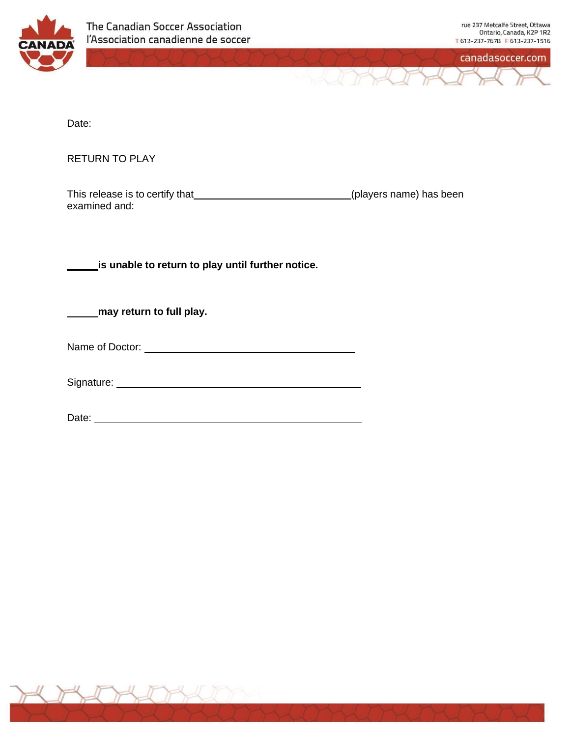



Date:

RETURN TO PLAY

| This release is to certify that | (players name) has been |
|---------------------------------|-------------------------|
| examined and:                   |                         |

**is unable to return to play until further notice.**

**may return to full play.**

Signature:

Date: